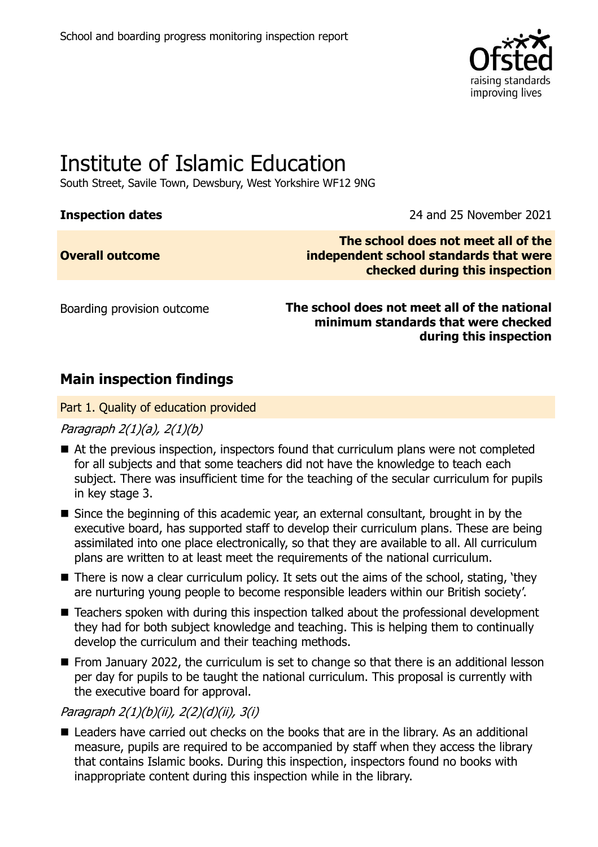

# Institute of Islamic Education

South Street, Savile Town, Dewsbury, West Yorkshire WF12 9NG

**Inspection dates** 2021

| <b>Overall outcome</b> |
|------------------------|
|------------------------|

**The school does not meet all of the independent school standards that were checked during this inspection**

Boarding provision outcome **The school does not meet all of the national minimum standards that were checked during this inspection**

### **Main inspection findings**

Part 1. Quality of education provided

Paragraph 2(1)(a), 2(1)(b)

- At the previous inspection, inspectors found that curriculum plans were not completed for all subjects and that some teachers did not have the knowledge to teach each subject. There was insufficient time for the teaching of the secular curriculum for pupils in key stage 3.
- Since the beginning of this academic year, an external consultant, brought in by the executive board, has supported staff to develop their curriculum plans. These are being assimilated into one place electronically, so that they are available to all. All curriculum plans are written to at least meet the requirements of the national curriculum.
- There is now a clear curriculum policy. It sets out the aims of the school, stating, 'they are nurturing young people to become responsible leaders within our British society'.
- Teachers spoken with during this inspection talked about the professional development they had for both subject knowledge and teaching. This is helping them to continually develop the curriculum and their teaching methods.
- From January 2022, the curriculum is set to change so that there is an additional lesson per day for pupils to be taught the national curriculum. This proposal is currently with the executive board for approval.

Paragraph 2(1)(b)(ii), 2(2)(d)(ii), 3(i)

■ Leaders have carried out checks on the books that are in the library. As an additional measure, pupils are required to be accompanied by staff when they access the library that contains Islamic books. During this inspection, inspectors found no books with inappropriate content during this inspection while in the library.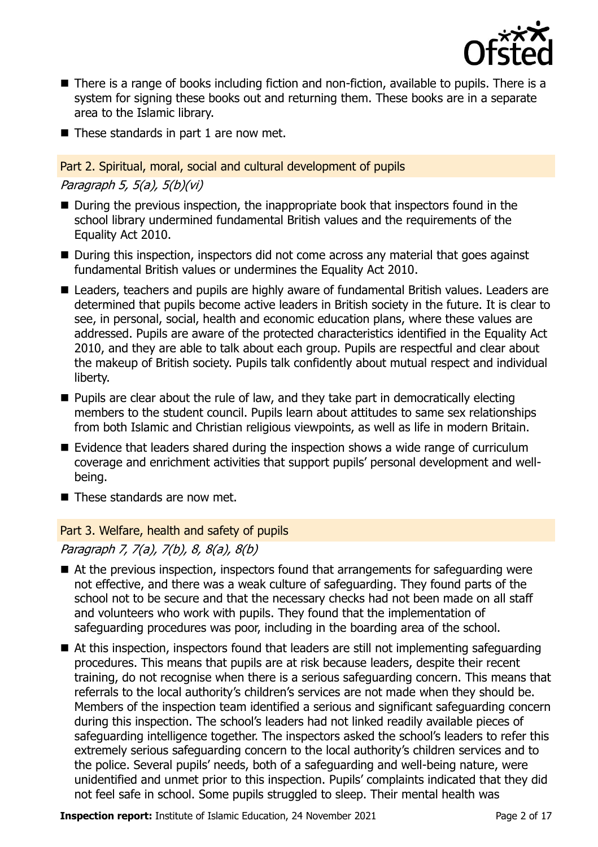

- There is a range of books including fiction and non-fiction, available to pupils. There is a system for signing these books out and returning them. These books are in a separate area to the Islamic library.
- These standards in part 1 are now met.

#### Part 2. Spiritual, moral, social and cultural development of pupils

Paragraph 5, 5(a), 5(b)(vi)

- During the previous inspection, the inappropriate book that inspectors found in the school library undermined fundamental British values and the requirements of the Equality Act 2010.
- During this inspection, inspectors did not come across any material that goes against fundamental British values or undermines the Equality Act 2010.
- Leaders, teachers and pupils are highly aware of fundamental British values. Leaders are determined that pupils become active leaders in British society in the future. It is clear to see, in personal, social, health and economic education plans, where these values are addressed. Pupils are aware of the protected characteristics identified in the Equality Act 2010, and they are able to talk about each group. Pupils are respectful and clear about the makeup of British society. Pupils talk confidently about mutual respect and individual liberty.
- Pupils are clear about the rule of law, and they take part in democratically electing members to the student council. Pupils learn about attitudes to same sex relationships from both Islamic and Christian religious viewpoints, as well as life in modern Britain.
- Evidence that leaders shared during the inspection shows a wide range of curriculum coverage and enrichment activities that support pupils' personal development and wellbeing.
- These standards are now met.

#### Part 3. Welfare, health and safety of pupils

Paragraph 7, 7(a), 7(b), 8, 8(a), 8(b)

- At the previous inspection, inspectors found that arrangements for safeguarding were not effective, and there was a weak culture of safeguarding. They found parts of the school not to be secure and that the necessary checks had not been made on all staff and volunteers who work with pupils. They found that the implementation of safeguarding procedures was poor, including in the boarding area of the school.
- At this inspection, inspectors found that leaders are still not implementing safeguarding procedures. This means that pupils are at risk because leaders, despite their recent training, do not recognise when there is a serious safeguarding concern. This means that referrals to the local authority's children's services are not made when they should be. Members of the inspection team identified a serious and significant safeguarding concern during this inspection. The school's leaders had not linked readily available pieces of safeguarding intelligence together. The inspectors asked the school's leaders to refer this extremely serious safeguarding concern to the local authority's children services and to the police. Several pupils' needs, both of a safeguarding and well-being nature, were unidentified and unmet prior to this inspection. Pupils' complaints indicated that they did not feel safe in school. Some pupils struggled to sleep. Their mental health was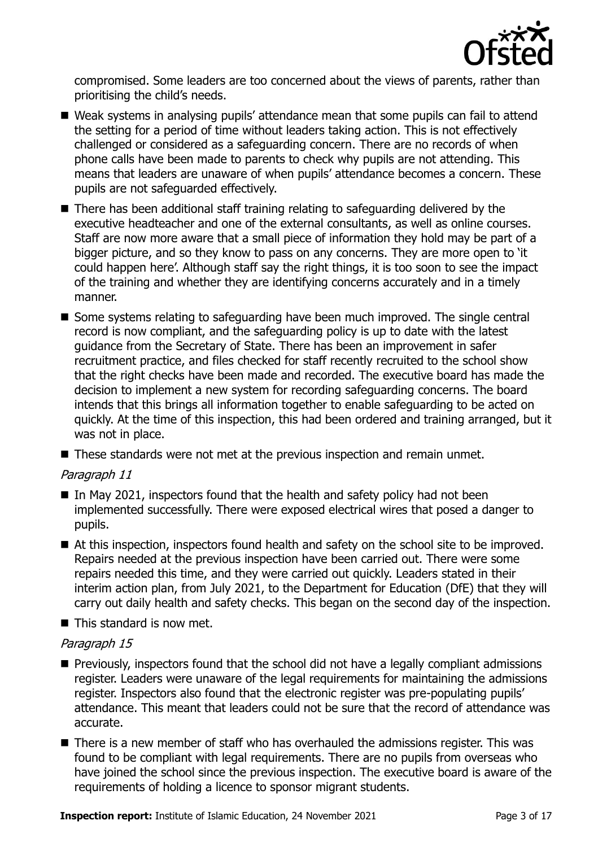

compromised. Some leaders are too concerned about the views of parents, rather than prioritising the child's needs.

- Weak systems in analysing pupils' attendance mean that some pupils can fail to attend the setting for a period of time without leaders taking action. This is not effectively challenged or considered as a safeguarding concern. There are no records of when phone calls have been made to parents to check why pupils are not attending. This means that leaders are unaware of when pupils' attendance becomes a concern. These pupils are not safeguarded effectively.
- There has been additional staff training relating to safeguarding delivered by the executive headteacher and one of the external consultants, as well as online courses. Staff are now more aware that a small piece of information they hold may be part of a bigger picture, and so they know to pass on any concerns. They are more open to 'it could happen here'. Although staff say the right things, it is too soon to see the impact of the training and whether they are identifying concerns accurately and in a timely manner.
- Some systems relating to safeguarding have been much improved. The single central record is now compliant, and the safeguarding policy is up to date with the latest guidance from the Secretary of State. There has been an improvement in safer recruitment practice, and files checked for staff recently recruited to the school show that the right checks have been made and recorded. The executive board has made the decision to implement a new system for recording safeguarding concerns. The board intends that this brings all information together to enable safeguarding to be acted on quickly. At the time of this inspection, this had been ordered and training arranged, but it was not in place.
- These standards were not met at the previous inspection and remain unmet.

#### Paragraph 11

- In May 2021, inspectors found that the health and safety policy had not been implemented successfully. There were exposed electrical wires that posed a danger to pupils.
- At this inspection, inspectors found health and safety on the school site to be improved. Repairs needed at the previous inspection have been carried out. There were some repairs needed this time, and they were carried out quickly. Leaders stated in their interim action plan, from July 2021, to the Department for Education (DfE) that they will carry out daily health and safety checks. This began on the second day of the inspection.
- $\blacksquare$  This standard is now met.

#### Paragraph 15

- Previously, inspectors found that the school did not have a legally compliant admissions register. Leaders were unaware of the legal requirements for maintaining the admissions register. Inspectors also found that the electronic register was pre-populating pupils' attendance. This meant that leaders could not be sure that the record of attendance was accurate.
- There is a new member of staff who has overhauled the admissions register. This was found to be compliant with legal requirements. There are no pupils from overseas who have joined the school since the previous inspection. The executive board is aware of the requirements of holding a licence to sponsor migrant students.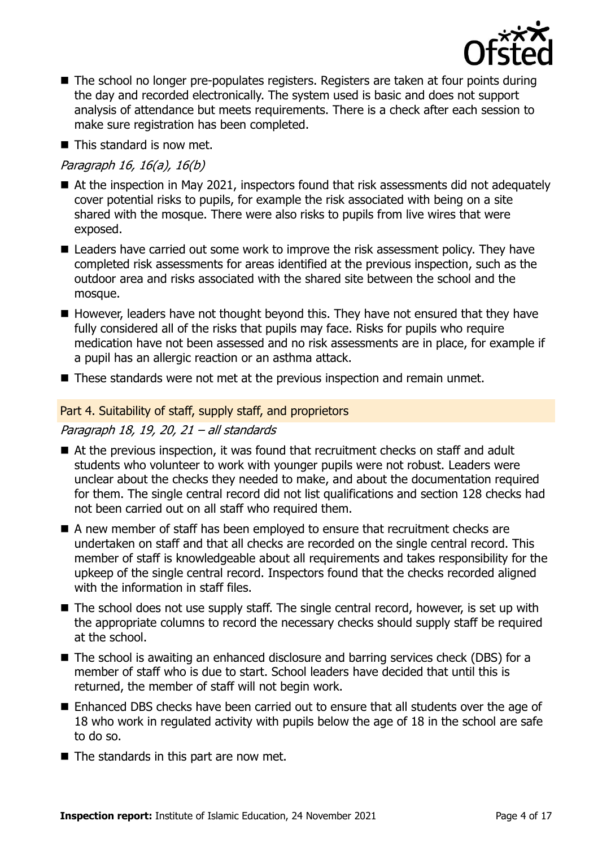

- The school no longer pre-populates registers. Registers are taken at four points during the day and recorded electronically. The system used is basic and does not support analysis of attendance but meets requirements. There is a check after each session to make sure registration has been completed.
- This standard is now met.

#### Paragraph 16, 16(a), 16(b)

- At the inspection in May 2021, inspectors found that risk assessments did not adequately cover potential risks to pupils, for example the risk associated with being on a site shared with the mosque. There were also risks to pupils from live wires that were exposed.
- Leaders have carried out some work to improve the risk assessment policy. They have completed risk assessments for areas identified at the previous inspection, such as the outdoor area and risks associated with the shared site between the school and the mosque.
- However, leaders have not thought beyond this. They have not ensured that they have fully considered all of the risks that pupils may face. Risks for pupils who require medication have not been assessed and no risk assessments are in place, for example if a pupil has an allergic reaction or an asthma attack.
- These standards were not met at the previous inspection and remain unmet.

#### Part 4. Suitability of staff, supply staff, and proprietors

#### Paragraph 18, 19, 20, 21 – all standards

- At the previous inspection, it was found that recruitment checks on staff and adult students who volunteer to work with younger pupils were not robust. Leaders were unclear about the checks they needed to make, and about the documentation required for them. The single central record did not list qualifications and section 128 checks had not been carried out on all staff who required them.
- A new member of staff has been employed to ensure that recruitment checks are undertaken on staff and that all checks are recorded on the single central record. This member of staff is knowledgeable about all requirements and takes responsibility for the upkeep of the single central record. Inspectors found that the checks recorded aligned with the information in staff files.
- The school does not use supply staff. The single central record, however, is set up with the appropriate columns to record the necessary checks should supply staff be required at the school.
- The school is awaiting an enhanced disclosure and barring services check (DBS) for a member of staff who is due to start. School leaders have decided that until this is returned, the member of staff will not begin work.
- Enhanced DBS checks have been carried out to ensure that all students over the age of 18 who work in regulated activity with pupils below the age of 18 in the school are safe to do so.
- The standards in this part are now met.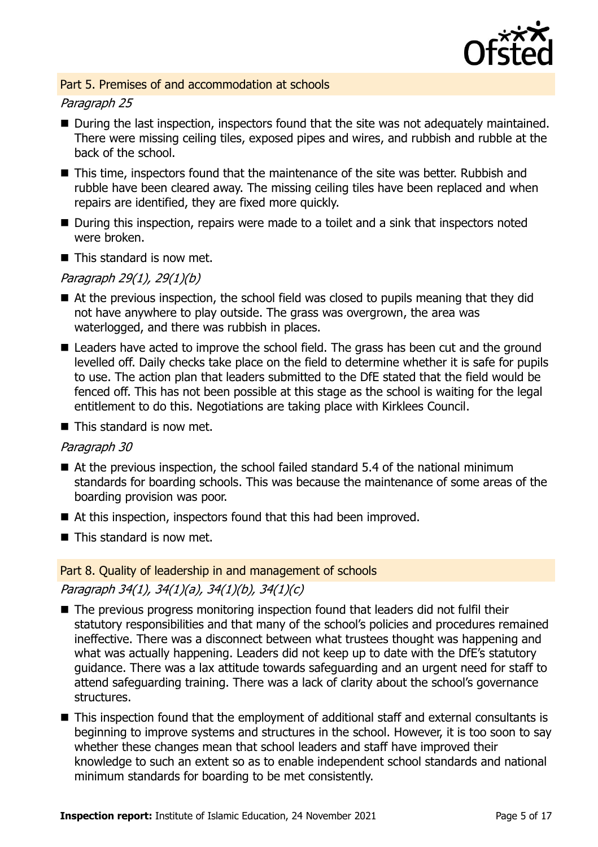

#### Part 5. Premises of and accommodation at schools

#### Paragraph 25

- During the last inspection, inspectors found that the site was not adequately maintained. There were missing ceiling tiles, exposed pipes and wires, and rubbish and rubble at the back of the school.
- This time, inspectors found that the maintenance of the site was better. Rubbish and rubble have been cleared away. The missing ceiling tiles have been replaced and when repairs are identified, they are fixed more quickly.
- During this inspection, repairs were made to a toilet and a sink that inspectors noted were broken.
- $\blacksquare$  This standard is now met.

#### Paragraph 29(1), 29(1)(b)

- At the previous inspection, the school field was closed to pupils meaning that they did not have anywhere to play outside. The grass was overgrown, the area was waterlogged, and there was rubbish in places.
- Leaders have acted to improve the school field. The grass has been cut and the ground levelled off. Daily checks take place on the field to determine whether it is safe for pupils to use. The action plan that leaders submitted to the DfE stated that the field would be fenced off. This has not been possible at this stage as the school is waiting for the legal entitlement to do this. Negotiations are taking place with Kirklees Council.

 $\blacksquare$  This standard is now met.

#### Paragraph 30

- $\blacksquare$  At the previous inspection, the school failed standard 5.4 of the national minimum standards for boarding schools. This was because the maintenance of some areas of the boarding provision was poor.
- At this inspection, inspectors found that this had been improved.
- This standard is now met.

# Part 8. Quality of leadership in and management of schools

### Paragraph 34(1), 34(1)(a), 34(1)(b), 34(1)(c)

- The previous progress monitoring inspection found that leaders did not fulfil their statutory responsibilities and that many of the school's policies and procedures remained ineffective. There was a disconnect between what trustees thought was happening and what was actually happening. Leaders did not keep up to date with the DfE's statutory guidance. There was a lax attitude towards safeguarding and an urgent need for staff to attend safeguarding training. There was a lack of clarity about the school's governance structures.
- This inspection found that the employment of additional staff and external consultants is beginning to improve systems and structures in the school. However, it is too soon to say whether these changes mean that school leaders and staff have improved their knowledge to such an extent so as to enable independent school standards and national minimum standards for boarding to be met consistently.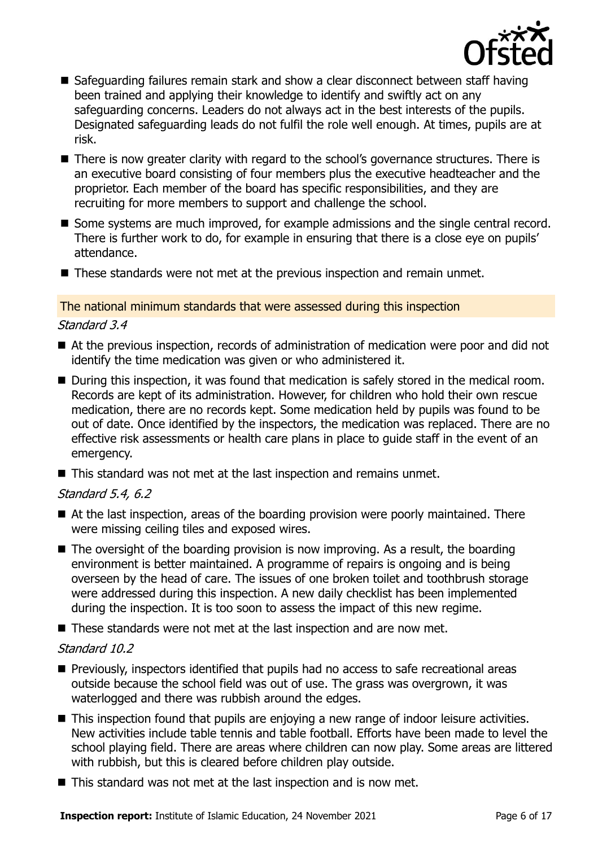

- Safeguarding failures remain stark and show a clear disconnect between staff having been trained and applying their knowledge to identify and swiftly act on any safeguarding concerns. Leaders do not always act in the best interests of the pupils. Designated safeguarding leads do not fulfil the role well enough. At times, pupils are at risk.
- There is now greater clarity with regard to the school's governance structures. There is an executive board consisting of four members plus the executive headteacher and the proprietor. Each member of the board has specific responsibilities, and they are recruiting for more members to support and challenge the school.
- Some systems are much improved, for example admissions and the single central record. There is further work to do, for example in ensuring that there is a close eye on pupils' attendance.
- These standards were not met at the previous inspection and remain unmet.

#### The national minimum standards that were assessed during this inspection

#### Standard 3.4

- At the previous inspection, records of administration of medication were poor and did not identify the time medication was given or who administered it.
- During this inspection, it was found that medication is safely stored in the medical room. Records are kept of its administration. However, for children who hold their own rescue medication, there are no records kept. Some medication held by pupils was found to be out of date. Once identified by the inspectors, the medication was replaced. There are no effective risk assessments or health care plans in place to guide staff in the event of an emergency.
- This standard was not met at the last inspection and remains unmet.

#### Standard 5.4, 6.2

- At the last inspection, areas of the boarding provision were poorly maintained. There were missing ceiling tiles and exposed wires.
- $\blacksquare$  The oversight of the boarding provision is now improving. As a result, the boarding environment is better maintained. A programme of repairs is ongoing and is being overseen by the head of care. The issues of one broken toilet and toothbrush storage were addressed during this inspection. A new daily checklist has been implemented during the inspection. It is too soon to assess the impact of this new regime.
- These standards were not met at the last inspection and are now met.

#### Standard 10.2

- Previously, inspectors identified that pupils had no access to safe recreational areas outside because the school field was out of use. The grass was overgrown, it was waterlogged and there was rubbish around the edges.
- This inspection found that pupils are enjoying a new range of indoor leisure activities. New activities include table tennis and table football. Efforts have been made to level the school playing field. There are areas where children can now play. Some areas are littered with rubbish, but this is cleared before children play outside.
- This standard was not met at the last inspection and is now met.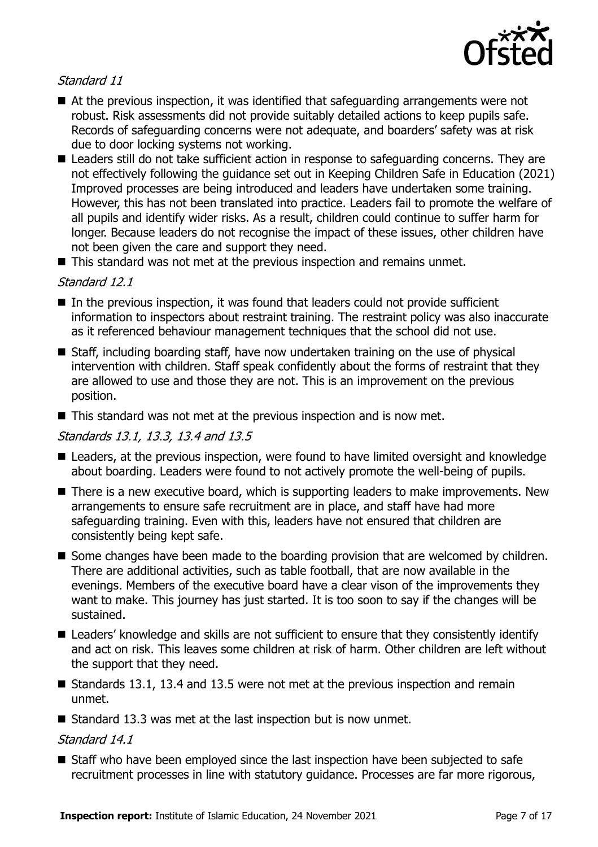

#### Standard 11

- At the previous inspection, it was identified that safeguarding arrangements were not robust. Risk assessments did not provide suitably detailed actions to keep pupils safe. Records of safeguarding concerns were not adequate, and boarders' safety was at risk due to door locking systems not working.
- Leaders still do not take sufficient action in response to safeguarding concerns. They are not effectively following the guidance set out in Keeping Children Safe in Education (2021) Improved processes are being introduced and leaders have undertaken some training. However, this has not been translated into practice. Leaders fail to promote the welfare of all pupils and identify wider risks. As a result, children could continue to suffer harm for longer. Because leaders do not recognise the impact of these issues, other children have not been given the care and support they need.
- This standard was not met at the previous inspection and remains unmet.

#### Standard 12.1

- $\blacksquare$  In the previous inspection, it was found that leaders could not provide sufficient information to inspectors about restraint training. The restraint policy was also inaccurate as it referenced behaviour management techniques that the school did not use.
- Staff, including boarding staff, have now undertaken training on the use of physical intervention with children. Staff speak confidently about the forms of restraint that they are allowed to use and those they are not. This is an improvement on the previous position.
- This standard was not met at the previous inspection and is now met.

#### Standards 13.1, 13.3, 13.4 and 13.5

- Leaders, at the previous inspection, were found to have limited oversight and knowledge about boarding. Leaders were found to not actively promote the well-being of pupils.
- There is a new executive board, which is supporting leaders to make improvements. New arrangements to ensure safe recruitment are in place, and staff have had more safeguarding training. Even with this, leaders have not ensured that children are consistently being kept safe.
- Some changes have been made to the boarding provision that are welcomed by children. There are additional activities, such as table football, that are now available in the evenings. Members of the executive board have a clear vison of the improvements they want to make. This journey has just started. It is too soon to say if the changes will be sustained.
- Leaders' knowledge and skills are not sufficient to ensure that they consistently identify and act on risk. This leaves some children at risk of harm. Other children are left without the support that they need.
- Standards 13.1, 13.4 and 13.5 were not met at the previous inspection and remain unmet.
- Standard 13.3 was met at the last inspection but is now unmet.

#### Standard 14.1

■ Staff who have been employed since the last inspection have been subjected to safe recruitment processes in line with statutory guidance. Processes are far more rigorous,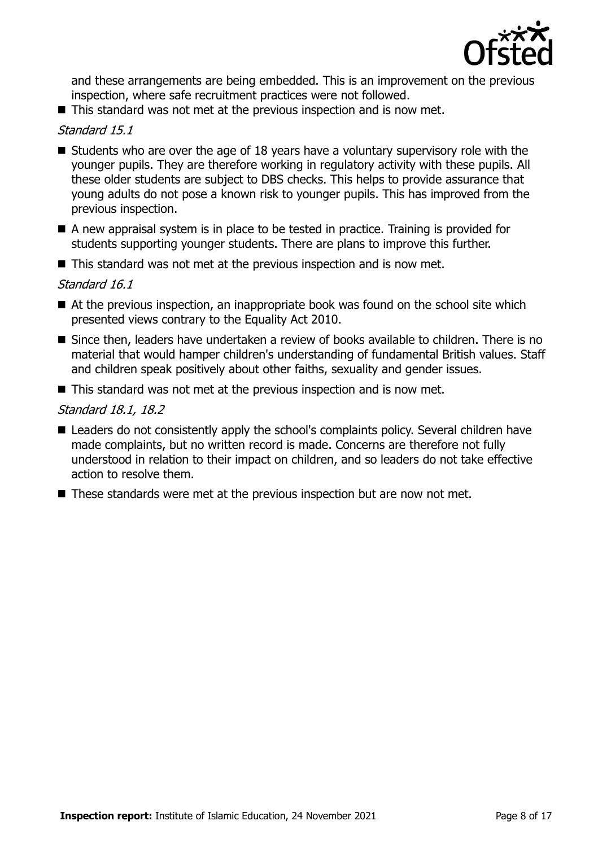

and these arrangements are being embedded. This is an improvement on the previous inspection, where safe recruitment practices were not followed.

■ This standard was not met at the previous inspection and is now met.

#### Standard 15.1

- Students who are over the age of 18 years have a voluntary supervisory role with the younger pupils. They are therefore working in regulatory activity with these pupils. All these older students are subject to DBS checks. This helps to provide assurance that young adults do not pose a known risk to younger pupils. This has improved from the previous inspection.
- A new appraisal system is in place to be tested in practice. Training is provided for students supporting younger students. There are plans to improve this further.
- This standard was not met at the previous inspection and is now met.

#### Standard 16.1

- $\blacksquare$  At the previous inspection, an inappropriate book was found on the school site which presented views contrary to the Equality Act 2010.
- Since then, leaders have undertaken a review of books available to children. There is no material that would hamper children's understanding of fundamental British values. Staff and children speak positively about other faiths, sexuality and gender issues.
- This standard was not met at the previous inspection and is now met.

#### Standard 18.1, 18.2

- Leaders do not consistently apply the school's complaints policy. Several children have made complaints, but no written record is made. Concerns are therefore not fully understood in relation to their impact on children, and so leaders do not take effective action to resolve them.
- These standards were met at the previous inspection but are now not met.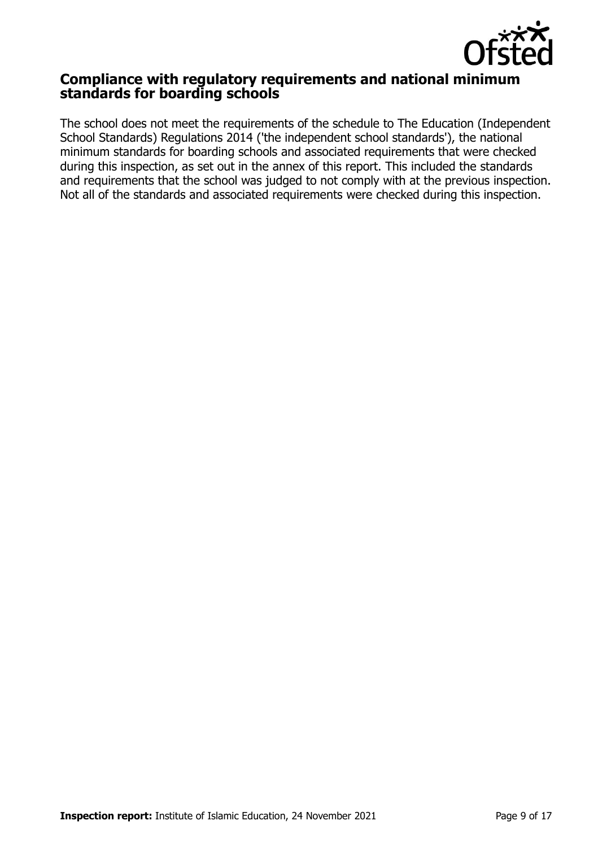

### **Compliance with regulatory requirements and national minimum standards for boarding schools**

The school does not meet the requirements of the schedule to The Education (Independent School Standards) Regulations 2014 ('the independent school standards'), the national minimum standards for boarding schools and associated requirements that were checked during this inspection, as set out in the annex of this report. This included the standards and requirements that the school was judged to not comply with at the previous inspection. Not all of the standards and associated requirements were checked during this inspection.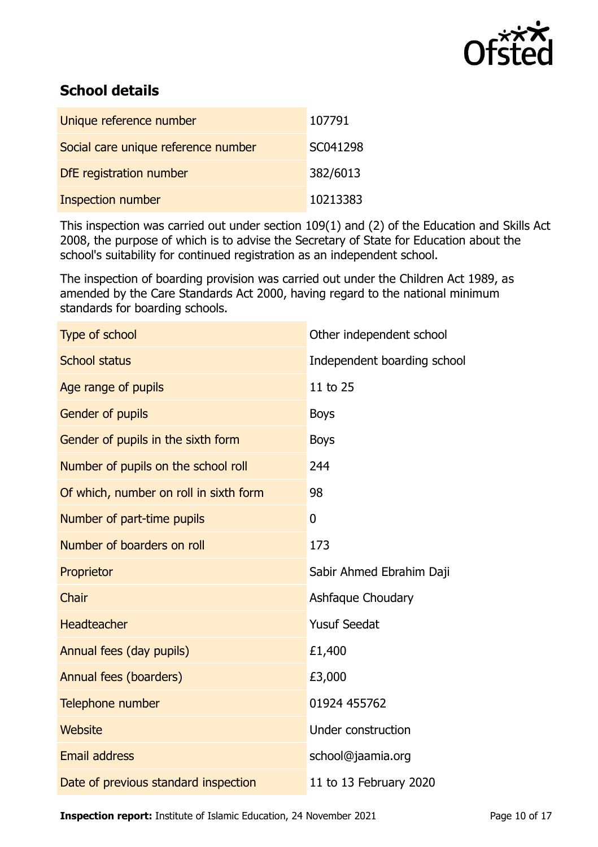

# **School details**

| Unique reference number             | 107791   |
|-------------------------------------|----------|
| Social care unique reference number | SC041298 |
| DfE registration number             | 382/6013 |
| <b>Inspection number</b>            | 10213383 |

This inspection was carried out under section 109(1) and (2) of the Education and Skills Act 2008, the purpose of which is to advise the Secretary of State for Education about the school's suitability for continued registration as an independent school.

The inspection of boarding provision was carried out under the Children Act 1989, as amended by the Care Standards Act 2000, having regard to the national minimum standards for boarding schools.

| Type of school                         | Other independent school    |
|----------------------------------------|-----------------------------|
| <b>School status</b>                   | Independent boarding school |
| Age range of pupils                    | 11 to 25                    |
| Gender of pupils                       | <b>Boys</b>                 |
| Gender of pupils in the sixth form     | <b>Boys</b>                 |
| Number of pupils on the school roll    | 244                         |
| Of which, number on roll in sixth form | 98                          |
| Number of part-time pupils             | $\mathbf{0}$                |
| Number of boarders on roll             | 173                         |
| Proprietor                             | Sabir Ahmed Ebrahim Daji    |
| Chair                                  | Ashfaque Choudary           |
| <b>Headteacher</b>                     | <b>Yusuf Seedat</b>         |
| Annual fees (day pupils)               | £1,400                      |
| Annual fees (boarders)                 | £3,000                      |
| Telephone number                       | 01924 455762                |
| <b>Website</b>                         | Under construction          |
| <b>Email address</b>                   | school@jaamia.org           |
| Date of previous standard inspection   | 11 to 13 February 2020      |

**Inspection report:** Institute of Islamic Education, 24 November 2021 Page 10 of [17](#page-16-0)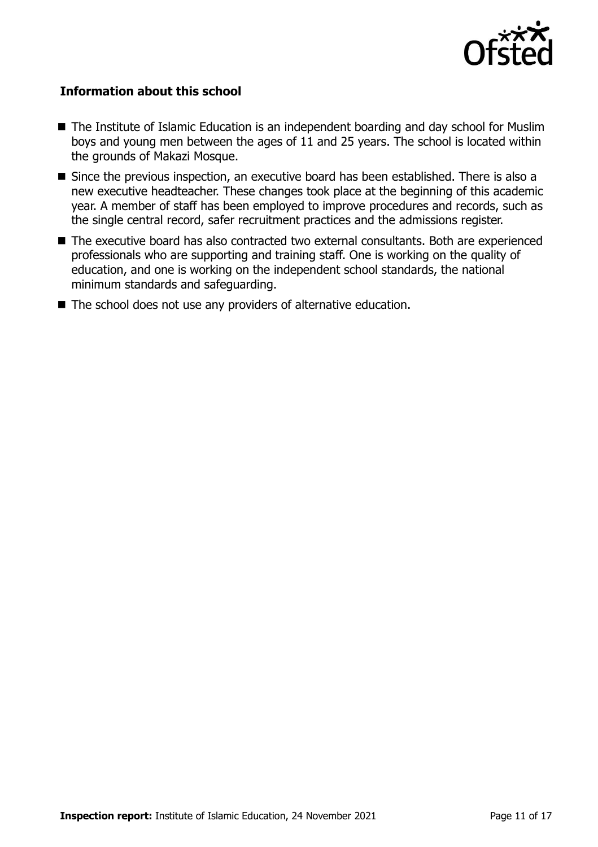

#### **Information about this school**

- The Institute of Islamic Education is an independent boarding and day school for Muslim boys and young men between the ages of 11 and 25 years. The school is located within the grounds of Makazi Mosque.
- Since the previous inspection, an executive board has been established. There is also a new executive headteacher. These changes took place at the beginning of this academic year. A member of staff has been employed to improve procedures and records, such as the single central record, safer recruitment practices and the admissions register.
- The executive board has also contracted two external consultants. Both are experienced professionals who are supporting and training staff. One is working on the quality of education, and one is working on the independent school standards, the national minimum standards and safeguarding.
- The school does not use any providers of alternative education.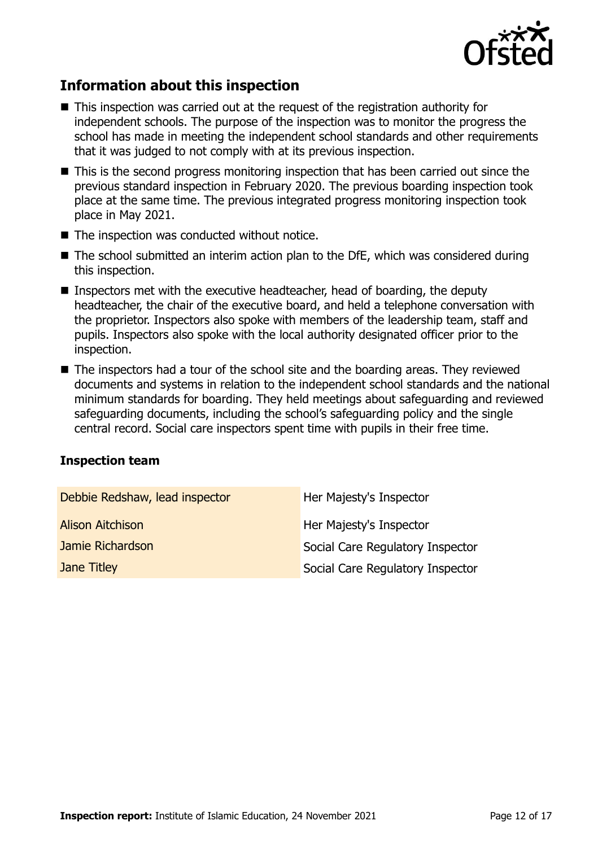

## **Information about this inspection**

- This inspection was carried out at the request of the registration authority for independent schools. The purpose of the inspection was to monitor the progress the school has made in meeting the independent school standards and other requirements that it was judged to not comply with at its previous inspection.
- This is the second progress monitoring inspection that has been carried out since the previous standard inspection in February 2020. The previous boarding inspection took place at the same time. The previous integrated progress monitoring inspection took place in May 2021.
- The inspection was conducted without notice.
- $\blacksquare$  The school submitted an interim action plan to the DfE, which was considered during this inspection.
- Inspectors met with the executive headteacher, head of boarding, the deputy headteacher, the chair of the executive board, and held a telephone conversation with the proprietor. Inspectors also spoke with members of the leadership team, staff and pupils. Inspectors also spoke with the local authority designated officer prior to the inspection.
- The inspectors had a tour of the school site and the boarding areas. They reviewed documents and systems in relation to the independent school standards and the national minimum standards for boarding. They held meetings about safeguarding and reviewed safeguarding documents, including the school's safeguarding policy and the single central record. Social care inspectors spent time with pupils in their free time.

#### **Inspection team**

| Debbie Redshaw, lead inspector | Her Majesty's Inspector          |
|--------------------------------|----------------------------------|
| <b>Alison Aitchison</b>        | Her Majesty's Inspector          |
| Jamie Richardson               | Social Care Regulatory Inspector |
| Jane Titley                    | Social Care Regulatory Inspector |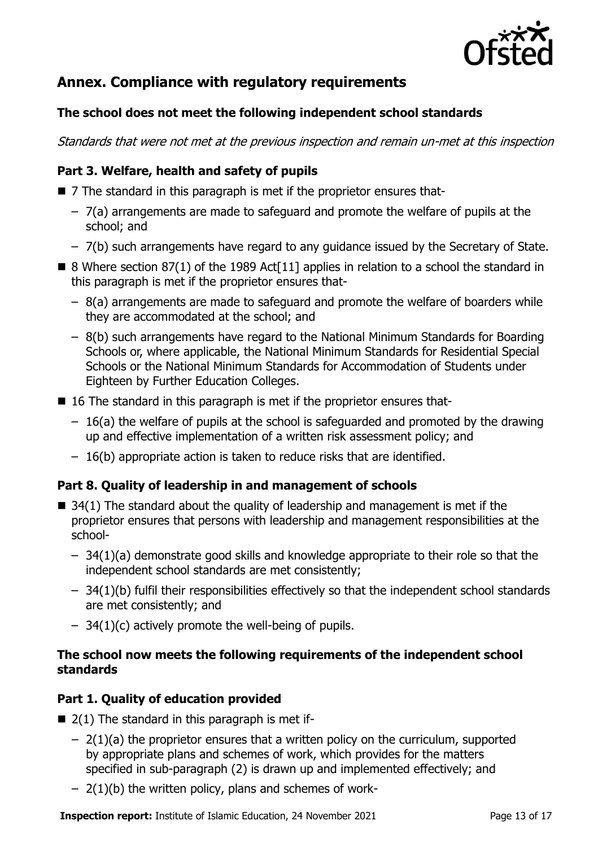

# **Annex. Compliance with regulatory requirements**

#### **The school does not meet the following independent school standards**

Standards that were not met at the previous inspection and remain un-met at this inspection

#### **Part 3. Welfare, health and safety of pupils**

- 7 The standard in this paragraph is met if the proprietor ensures that-
	- 7(a) arrangements are made to safeguard and promote the welfare of pupils at the school; and
	- 7(b) such arrangements have regard to any guidance issued by the Secretary of State.
- $\blacksquare$  8 Where section 87(1) of the 1989 Act<sup>[11]</sup> applies in relation to a school the standard in this paragraph is met if the proprietor ensures that-
	- 8(a) arrangements are made to safeguard and promote the welfare of boarders while they are accommodated at the school; and
	- 8(b) such arrangements have regard to the National Minimum Standards for Boarding Schools or, where applicable, the National Minimum Standards for Residential Special Schools or the National Minimum Standards for Accommodation of Students under Eighteen by Further Education Colleges.
- 16 The standard in this paragraph is met if the proprietor ensures that-
	- 16(a) the welfare of pupils at the school is safeguarded and promoted by the drawing up and effective implementation of a written risk assessment policy; and
	- 16(b) appropriate action is taken to reduce risks that are identified.

#### **Part 8. Quality of leadership in and management of schools**

- $\blacksquare$  34(1) The standard about the quality of leadership and management is met if the proprietor ensures that persons with leadership and management responsibilities at the school-
	- 34(1)(a) demonstrate good skills and knowledge appropriate to their role so that the independent school standards are met consistently;
	- 34(1)(b) fulfil their responsibilities effectively so that the independent school standards are met consistently; and
	- $-$  34(1)(c) actively promote the well-being of pupils.

#### **The school now meets the following requirements of the independent school standards**

#### **Part 1. Quality of education provided**

- $\blacksquare$  2(1) The standard in this paragraph is met if-
	- $-$  2(1)(a) the proprietor ensures that a written policy on the curriculum, supported by appropriate plans and schemes of work, which provides for the matters specified in sub-paragraph (2) is drawn up and implemented effectively; and
	- $-$  2(1)(b) the written policy, plans and schemes of work-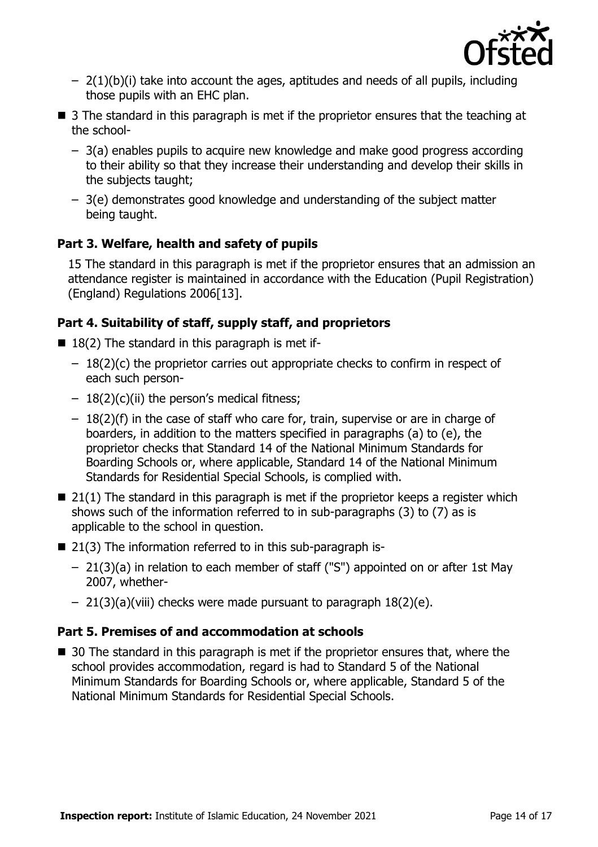

- $-$  2(1)(b)(i) take into account the ages, aptitudes and needs of all pupils, including those pupils with an EHC plan.
- 3 The standard in this paragraph is met if the proprietor ensures that the teaching at the school-
	- 3(a) enables pupils to acquire new knowledge and make good progress according to their ability so that they increase their understanding and develop their skills in the subjects taught;
	- 3(e) demonstrates good knowledge and understanding of the subject matter being taught.

#### **Part 3. Welfare, health and safety of pupils**

15 The standard in this paragraph is met if the proprietor ensures that an admission an attendance register is maintained in accordance with the Education (Pupil Registration) (England) Regulations 2006[13].

#### **Part 4. Suitability of staff, supply staff, and proprietors**

- $\blacksquare$  18(2) The standard in this paragraph is met if-
	- $-18(2)(c)$  the proprietor carries out appropriate checks to confirm in respect of each such person-
	- $-18(2)(c)(ii)$  the person's medical fitness;
	- $-18(2)$ (f) in the case of staff who care for, train, supervise or are in charge of boarders, in addition to the matters specified in paragraphs (a) to (e), the proprietor checks that Standard 14 of the National Minimum Standards for Boarding Schools or, where applicable, Standard 14 of the National Minimum Standards for Residential Special Schools, is complied with.
- $\blacksquare$  21(1) The standard in this paragraph is met if the proprietor keeps a register which shows such of the information referred to in sub-paragraphs (3) to (7) as is applicable to the school in question.
- 21(3) The information referred to in this sub-paragraph is-
	- 21(3)(a) in relation to each member of staff ("S") appointed on or after 1st May 2007, whether-
	- 21(3)(a)(viii) checks were made pursuant to paragraph 18(2)(e).

#### **Part 5. Premises of and accommodation at schools**

■ 30 The standard in this paragraph is met if the proprietor ensures that, where the school provides accommodation, regard is had to Standard 5 of the National Minimum Standards for Boarding Schools or, where applicable, Standard 5 of the National Minimum Standards for Residential Special Schools.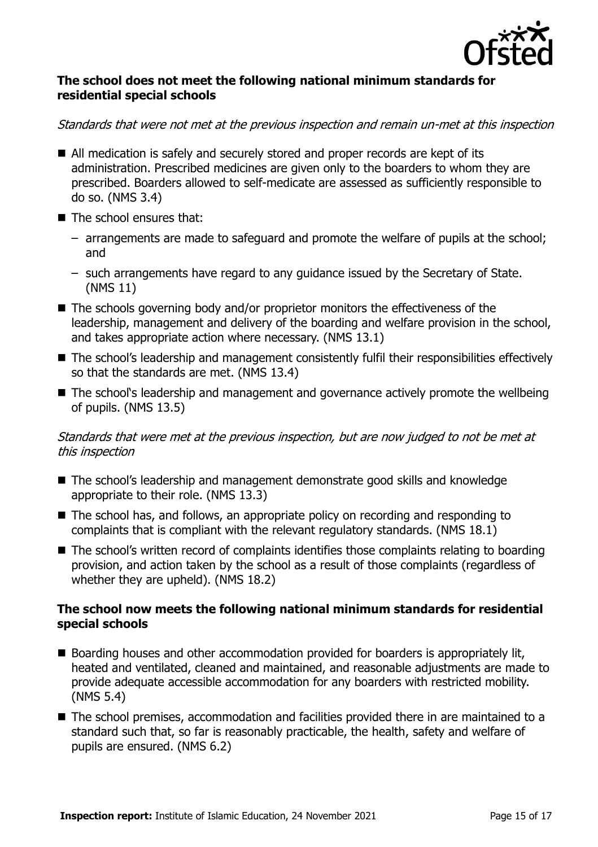

#### **The school does not meet the following national minimum standards for residential special schools**

#### Standards that were not met at the previous inspection and remain un-met at this inspection

- All medication is safely and securely stored and proper records are kept of its administration. Prescribed medicines are given only to the boarders to whom they are prescribed. Boarders allowed to self-medicate are assessed as sufficiently responsible to do so. (NMS 3.4)
- The school ensures that:
	- arrangements are made to safeguard and promote the welfare of pupils at the school; and
	- such arrangements have regard to any guidance issued by the Secretary of State. (NMS 11)
- The schools governing body and/or proprietor monitors the effectiveness of the leadership, management and delivery of the boarding and welfare provision in the school, and takes appropriate action where necessary. (NMS 13.1)
- The school's leadership and management consistently fulfil their responsibilities effectively so that the standards are met. (NMS 13.4)
- The school's leadership and management and governance actively promote the wellbeing of pupils. (NMS 13.5)

#### Standards that were met at the previous inspection, but are now judged to not be met at this inspection

- The school's leadership and management demonstrate good skills and knowledge appropriate to their role. (NMS 13.3)
- The school has, and follows, an appropriate policy on recording and responding to complaints that is compliant with the relevant regulatory standards. (NMS 18.1)
- The school's written record of complaints identifies those complaints relating to boarding provision, and action taken by the school as a result of those complaints (regardless of whether they are upheld). (NMS 18.2)

#### **The school now meets the following national minimum standards for residential special schools**

- Boarding houses and other accommodation provided for boarders is appropriately lit, heated and ventilated, cleaned and maintained, and reasonable adjustments are made to provide adequate accessible accommodation for any boarders with restricted mobility. (NMS 5.4)
- The school premises, accommodation and facilities provided there in are maintained to a standard such that, so far is reasonably practicable, the health, safety and welfare of pupils are ensured. (NMS 6.2)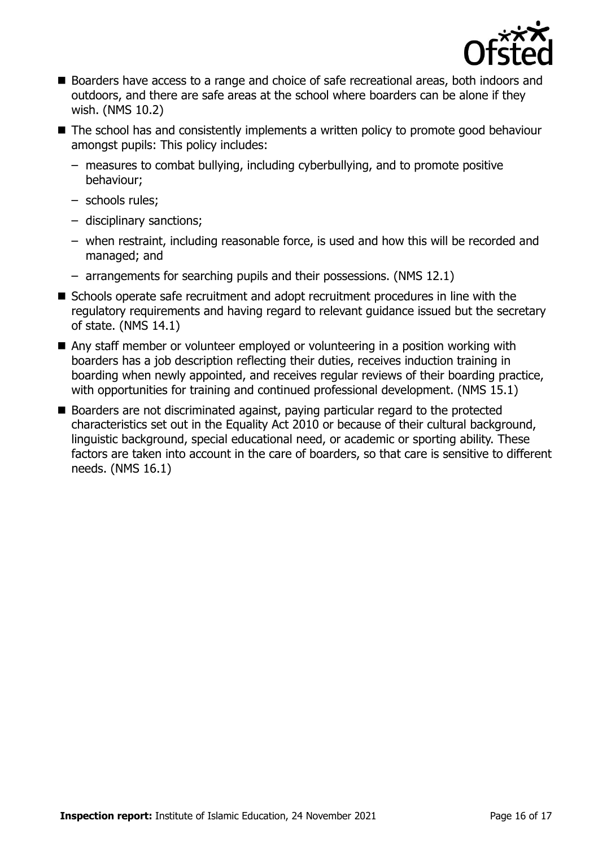

- Boarders have access to a range and choice of safe recreational areas, both indoors and outdoors, and there are safe areas at the school where boarders can be alone if they wish. (NMS 10.2)
- The school has and consistently implements a written policy to promote good behaviour amongst pupils: This policy includes:
	- measures to combat bullying, including cyberbullying, and to promote positive behaviour;
	- schools rules;
	- disciplinary sanctions;
	- when restraint, including reasonable force, is used and how this will be recorded and managed; and
	- arrangements for searching pupils and their possessions. (NMS 12.1)
- Schools operate safe recruitment and adopt recruitment procedures in line with the regulatory requirements and having regard to relevant guidance issued but the secretary of state. (NMS 14.1)
- Any staff member or volunteer employed or volunteering in a position working with boarders has a job description reflecting their duties, receives induction training in boarding when newly appointed, and receives regular reviews of their boarding practice, with opportunities for training and continued professional development. (NMS 15.1)
- Boarders are not discriminated against, paying particular regard to the protected characteristics set out in the Equality Act 2010 or because of their cultural background, linguistic background, special educational need, or academic or sporting ability. These factors are taken into account in the care of boarders, so that care is sensitive to different needs. (NMS 16.1)